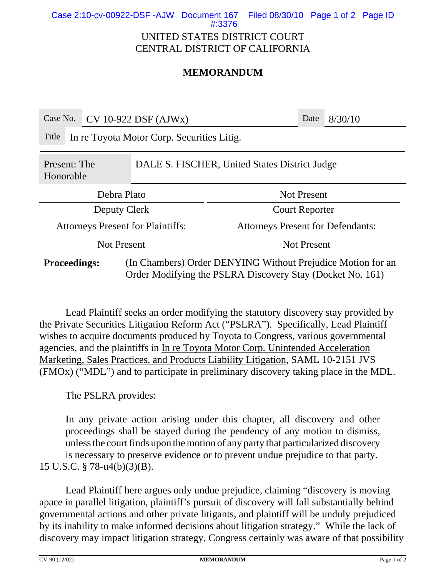Case 2:10-cv-00922-DSF -AJW Document 167 Filed 08/30/10 Page 1 of 2 Page ID

#:3376

## UNITED STATES DISTRICT COURT CENTRAL DISTRICT OF CALIFORNIA

## **MEMORANDUM**

| Case No.                                                                   |                                            | $CV 10-922$ DSF (AJWx) |                                                                                                                          |                                          | Date | 8/30/10 |  |
|----------------------------------------------------------------------------|--------------------------------------------|------------------------|--------------------------------------------------------------------------------------------------------------------------|------------------------------------------|------|---------|--|
| Title                                                                      | In re Toyota Motor Corp. Securities Litig. |                        |                                                                                                                          |                                          |      |         |  |
| DALE S. FISCHER, United States District Judge<br>Present: The<br>Honorable |                                            |                        |                                                                                                                          |                                          |      |         |  |
| Debra Plato                                                                |                                            |                        | <b>Not Present</b>                                                                                                       |                                          |      |         |  |
| Deputy Clerk                                                               |                                            |                        |                                                                                                                          | <b>Court Reporter</b>                    |      |         |  |
| <b>Attorneys Present for Plaintiffs:</b>                                   |                                            |                        |                                                                                                                          | <b>Attorneys Present for Defendants:</b> |      |         |  |
| <b>Not Present</b>                                                         |                                            |                        | <b>Not Present</b>                                                                                                       |                                          |      |         |  |
| <b>Proceedings:</b>                                                        |                                            |                        | (In Chambers) Order DENYING Without Prejudice Motion for an<br>Order Modifying the PSLRA Discovery Stay (Docket No. 161) |                                          |      |         |  |

Lead Plaintiff seeks an order modifying the statutory discovery stay provided by the Private Securities Litigation Reform Act ("PSLRA"). Specifically, Lead Plaintiff wishes to acquire documents produced by Toyota to Congress, various governmental agencies, and the plaintiffs in In re Toyota Motor Corp. Unintended Acceleration Marketing, Sales Practices, and Products Liability Litigation, SAML 10-2151 JVS (FMOx) ("MDL") and to participate in preliminary discovery taking place in the MDL.

The PSLRA provides:

In any private action arising under this chapter, all discovery and other proceedings shall be stayed during the pendency of any motion to dismiss, unless the court finds upon the motion of any party that particularized discovery is necessary to preserve evidence or to prevent undue prejudice to that party. 15 U.S.C. § 78-u4(b)(3)(B).

Lead Plaintiff here argues only undue prejudice, claiming "discovery is moving apace in parallel litigation, plaintiff's pursuit of discovery will fall substantially behind governmental actions and other private litigants, and plaintiff will be unduly prejudiced by its inability to make informed decisions about litigation strategy." While the lack of discovery may impact litigation strategy, Congress certainly was aware of that possibility